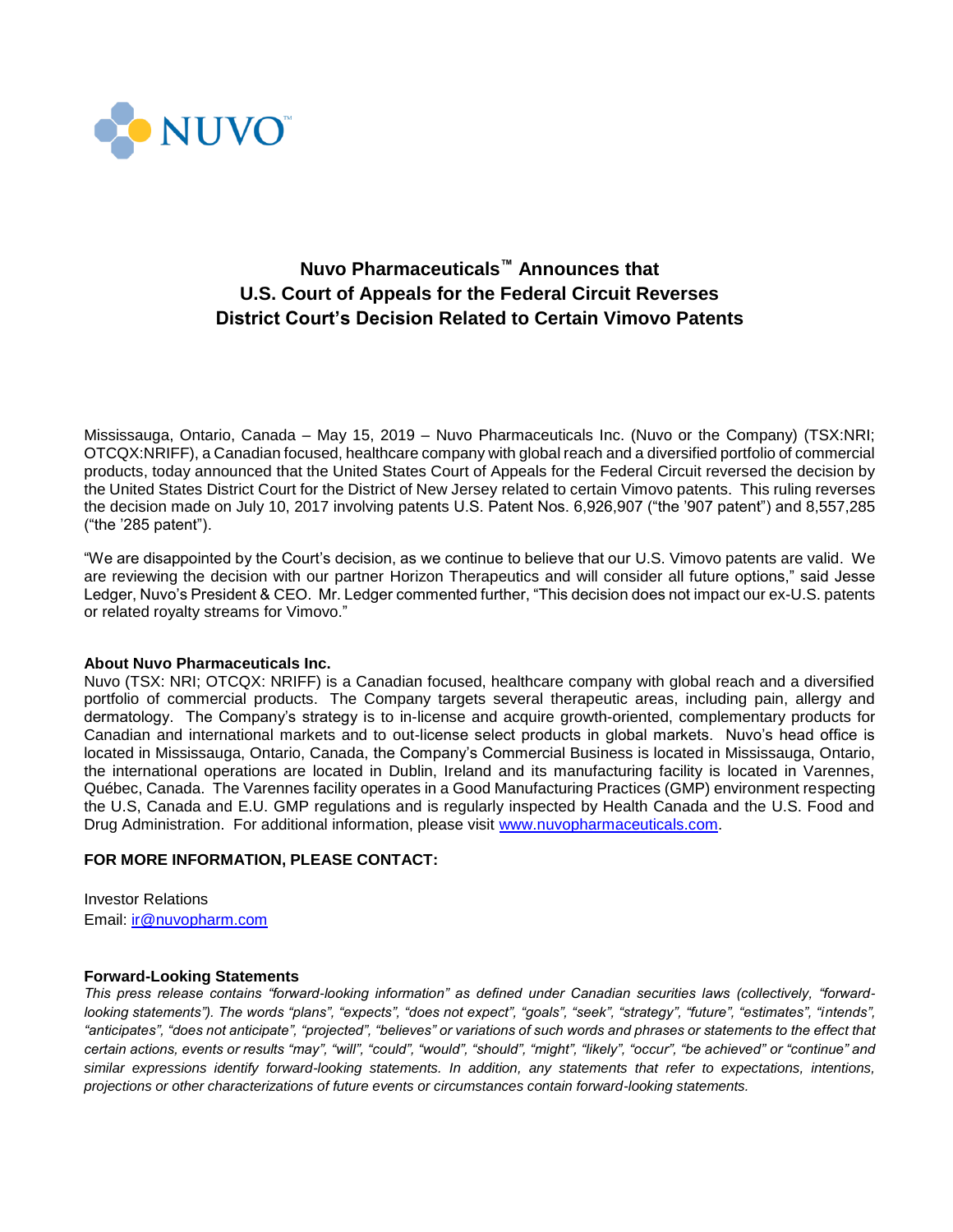

## **Nuvo Pharmaceuticals™ Announces that U.S. Court of Appeals for the Federal Circuit Reverses District Court's Decision Related to Certain Vimovo Patents**

Mississauga, Ontario, Canada – May 15, 2019 – Nuvo Pharmaceuticals Inc. (Nuvo or the Company) (TSX:NRI; OTCQX:NRIFF), a Canadian focused, healthcare company with global reach and a diversified portfolio of commercial products, today announced that the United States Court of Appeals for the Federal Circuit reversed the decision by the United States District Court for the District of New Jersey related to certain Vimovo patents. This ruling reverses the decision made on July 10, 2017 involving patents U.S. Patent Nos. 6,926,907 ("the '907 patent") and 8,557,285 ("the '285 patent").

"We are disappointed by the Court's decision, as we continue to believe that our U.S. Vimovo patents are valid. We are reviewing the decision with our partner Horizon Therapeutics and will consider all future options," said Jesse Ledger, Nuvo's President & CEO. Mr. Ledger commented further, "This decision does not impact our ex-U.S. patents or related royalty streams for Vimovo."

## **About Nuvo Pharmaceuticals Inc.**

Nuvo (TSX: NRI; OTCQX: NRIFF) is a Canadian focused, healthcare company with global reach and a diversified portfolio of commercial products. The Company targets several therapeutic areas, including pain, allergy and dermatology. The Company's strategy is to in-license and acquire growth-oriented, complementary products for Canadian and international markets and to out-license select products in global markets. Nuvo's head office is located in Mississauga, Ontario, Canada, the Company's Commercial Business is located in Mississauga, Ontario, the international operations are located in Dublin, Ireland and its manufacturing facility is located in Varennes, Québec, Canada. The Varennes facility operates in a Good Manufacturing Practices (GMP) environment respecting the U.S, Canada and E.U. GMP regulations and is regularly inspected by Health Canada and the U.S. Food and Drug Administration. For additional information, please visit [www.nuvopharmaceuticals.com.](http://www.nuvopharmaceuticals.com/)

## **FOR MORE INFORMATION, PLEASE CONTACT:**

Investor Relations Email: [ir@nuvopharm.com](mailto:ir@nuvopharm.com)

## **Forward-Looking Statements**

*This press release contains "forward-looking information" as defined under Canadian securities laws (collectively, "forwardlooking statements"). The words "plans", "expects", "does not expect", "goals", "seek", "strategy", "future", "estimates", "intends", "anticipates", "does not anticipate", "projected", "believes" or variations of such words and phrases or statements to the effect that certain actions, events or results "may", "will", "could", "would", "should", "might", "likely", "occur", "be achieved" or "continue" and similar expressions identify forward-looking statements. In addition, any statements that refer to expectations, intentions, projections or other characterizations of future events or circumstances contain forward-looking statements.*